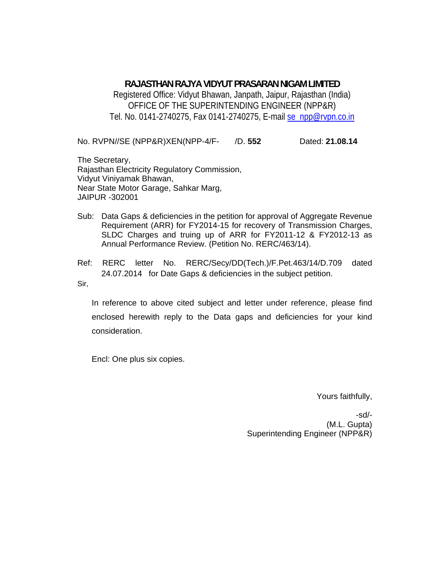### **RAJASTHAN RAJYA VIDYUT PRASARAN NIGAM LIMITED**

Registered Office: Vidyut Bhawan, Janpath, Jaipur, Rajasthan (India) OFFICE OF THE SUPERINTENDING ENGINEER (NPP&R) Tel. No. 0141-2740275, Fax 0141-2740275, E-mail se\_npp@rvpn.co.in

No. RVPN//SE (NPP&R)XEN(NPP-4/F- /D. **552** Dated: **21.08.14**

The Secretary, Rajasthan Electricity Regulatory Commission, Vidyut Viniyamak Bhawan, Near State Motor Garage, Sahkar Marg, JAIPUR -302001

- Sub: Data Gaps & deficiencies in the petition for approval of Aggregate Revenue Requirement (ARR) for FY2014-15 for recovery of Transmission Charges, SLDC Charges and truing up of ARR for FY2011-12 & FY2012-13 as Annual Performance Review. (Petition No. RERC/463/14).
- Ref: RERC letter No. RERC/Secy/DD(Tech.)/F.Pet.463/14/D.709 dated 24.07.2014 for Date Gaps & deficiencies in the subject petition.

Sir,

In reference to above cited subject and letter under reference, please find enclosed herewith reply to the Data gaps and deficiencies for your kind consideration.

Encl: One plus six copies.

Yours faithfully,

-sd/- (M.L. Gupta) Superintending Engineer (NPP&R)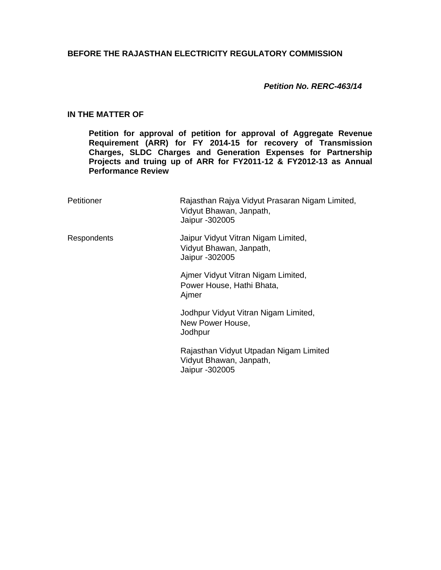### **BEFORE THE RAJASTHAN ELECTRICITY REGULATORY COMMISSION**

#### *Petition No. RERC-463/14*

#### **IN THE MATTER OF**

**Petition for approval of petition for approval of Aggregate Revenue Requirement (ARR) for FY 2014-15 for recovery of Transmission Charges, SLDC Charges and Generation Expenses for Partnership Projects and truing up of ARR for FY2011-12 & FY2012-13 as Annual Performance Review**

| Petitioner  | Rajasthan Rajya Vidyut Prasaran Nigam Limited,<br>Vidyut Bhawan, Janpath,<br>Jaipur - 302005 |  |
|-------------|----------------------------------------------------------------------------------------------|--|
| Respondents | Jaipur Vidyut Vitran Nigam Limited,<br>Vidyut Bhawan, Janpath,<br>Jaipur - 302005            |  |
|             | Ajmer Vidyut Vitran Nigam Limited,<br>Power House, Hathi Bhata,<br>Ajmer                     |  |
|             | Jodhpur Vidyut Vitran Nigam Limited,<br>New Power House,<br>Jodhpur                          |  |
|             | Rajasthan Vidyut Utpadan Nigam Limited<br>Vidyut Bhawan, Janpath,<br>Jaipur - 302005         |  |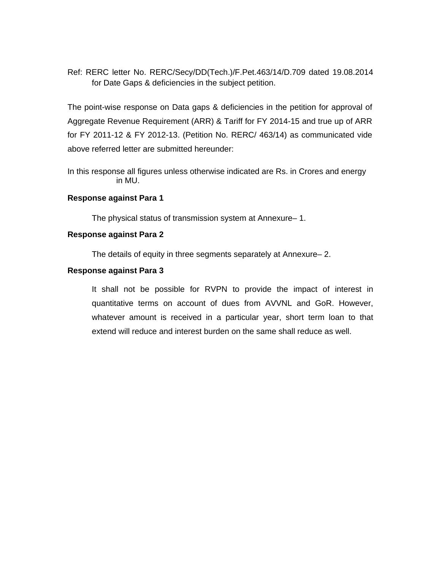Ref: RERC letter No. RERC/Secy/DD(Tech.)/F.Pet.463/14/D.709 dated 19.08.2014 for Date Gaps & deficiencies in the subject petition.

The point-wise response on Data gaps & deficiencies in the petition for approval of Aggregate Revenue Requirement (ARR) & Tariff for FY 2014-15 and true up of ARR for FY 2011-12 & FY 2012-13. (Petition No. RERC/ 463/14) as communicated vide above referred letter are submitted hereunder:

In this response all figures unless otherwise indicated are Rs. in Crores and energy in MU.

#### **Response against Para 1**

The physical status of transmission system at Annexure– 1.

#### **Response against Para 2**

The details of equity in three segments separately at Annexure– 2.

#### **Response against Para 3**

It shall not be possible for RVPN to provide the impact of interest in quantitative terms on account of dues from AVVNL and GoR. However, whatever amount is received in a particular year, short term loan to that extend will reduce and interest burden on the same shall reduce as well.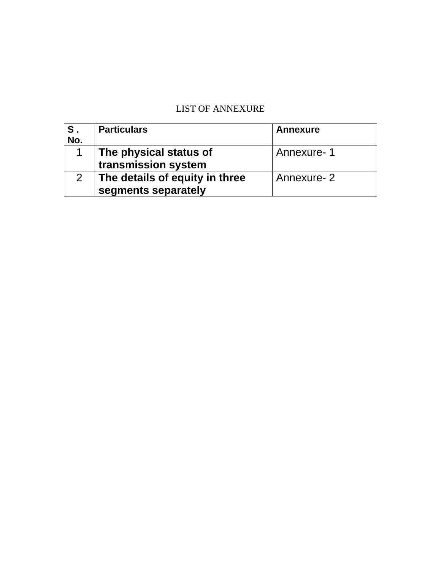# LIST OF ANNEXURE

| S.<br>No. | <b>Particulars</b>                                    | <b>Annexure</b> |
|-----------|-------------------------------------------------------|-----------------|
|           | The physical status of<br>transmission system         | Annexure-1      |
|           | The details of equity in three<br>segments separately | Annexure-2      |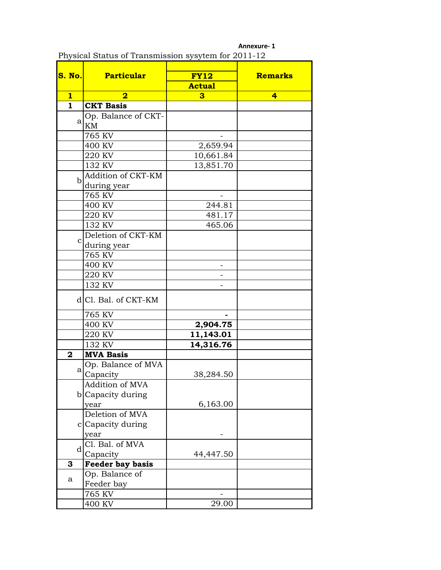| S. No.           | <b>Particular</b>       | <b>FY12</b>   | <b>Remarks</b>          |  |
|------------------|-------------------------|---------------|-------------------------|--|
|                  |                         | <b>Actual</b> |                         |  |
| 1                | 2                       | 3             | $\overline{\mathbf{4}}$ |  |
| $\mathbf{1}$     | <b>CKT Basis</b>        |               |                         |  |
|                  | Op. Balance of CKT-     |               |                         |  |
| a                | KM                      |               |                         |  |
|                  | 765 KV                  |               |                         |  |
|                  | 400 KV                  | 2,659.94      |                         |  |
|                  | 220 KV                  | 10,661.84     |                         |  |
|                  | 132 KV                  | 13,851.70     |                         |  |
|                  | Addition of CKT-KM      |               |                         |  |
| $\mathbf b$      | during year             |               |                         |  |
|                  | 765 KV                  |               |                         |  |
|                  | 400 KV                  | 244.81        |                         |  |
|                  | 220 KV                  | 481.17        |                         |  |
|                  | 132 KV                  | 465.06        |                         |  |
|                  | Deletion of CKT-KM      |               |                         |  |
| $\mathbf C$      | during year             |               |                         |  |
|                  | 765 KV                  |               |                         |  |
|                  | 400 KV                  |               |                         |  |
|                  | 220 KV                  |               |                         |  |
|                  | 132 KV                  |               |                         |  |
|                  | d Cl. Bal. of CKT-KM    |               |                         |  |
|                  | 765 KV                  |               |                         |  |
|                  | 400 KV                  | 2,904.75      |                         |  |
|                  | 220 KV                  | 11,143.01     |                         |  |
|                  | 132 KV                  | 14,316.76     |                         |  |
| $\boldsymbol{2}$ | <b>MVA Basis</b>        |               |                         |  |
|                  | Op. Balance of MVA      |               |                         |  |
| a                | Capacity                | 38,284.50     |                         |  |
|                  | Addition of MVA         |               |                         |  |
|                  | b Capacity during       |               |                         |  |
|                  | year                    | 6,163.00      |                         |  |
|                  | Deletion of MVA         |               |                         |  |
|                  | c Capacity during       |               |                         |  |
|                  | year                    |               |                         |  |
| d                | Cl. Bal. of MVA         |               |                         |  |
|                  | Capacity                | 44,447.50     |                         |  |
| 3                | <b>Feeder bay basis</b> |               |                         |  |
| a                | Op. Balance of          |               |                         |  |
|                  | Feeder bay              |               |                         |  |
|                  | 765 KV                  |               |                         |  |
|                  | 400 KV                  | 29.00         |                         |  |

|                                                     |  | Annexure-1 |
|-----------------------------------------------------|--|------------|
| Physical Status of Transmission sysytem for 2011-12 |  |            |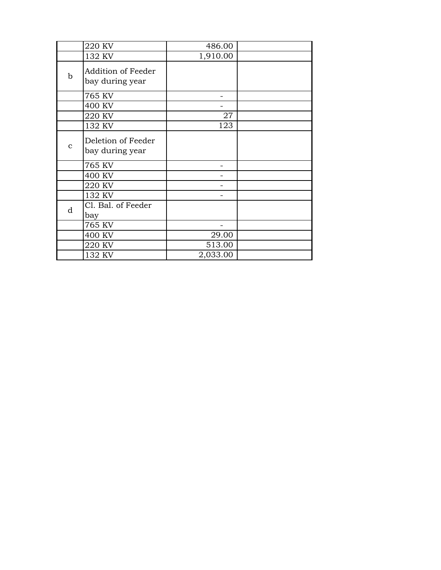|              | 220 KV                                | 486.00   |  |
|--------------|---------------------------------------|----------|--|
|              | 132 KV                                | 1,910.00 |  |
| $\mathbf b$  | Addition of Feeder<br>bay during year |          |  |
|              | 765 KV                                |          |  |
|              | 400 KV                                |          |  |
|              | 220 KV                                | 27       |  |
|              | 132 KV                                | 123      |  |
| $\mathbf{C}$ | Deletion of Feeder<br>bay during year |          |  |
|              | 765 KV                                |          |  |
|              | 400 KV                                |          |  |
|              | 220 KV                                |          |  |
|              | 132 KV                                |          |  |
| d            | Cl. Bal. of Feeder<br>bay             |          |  |
|              | 765 KV                                |          |  |
|              | 400 KV                                | 29.00    |  |
|              | 220 KV                                | 513.00   |  |
|              | 132 KV                                | 2,033.00 |  |